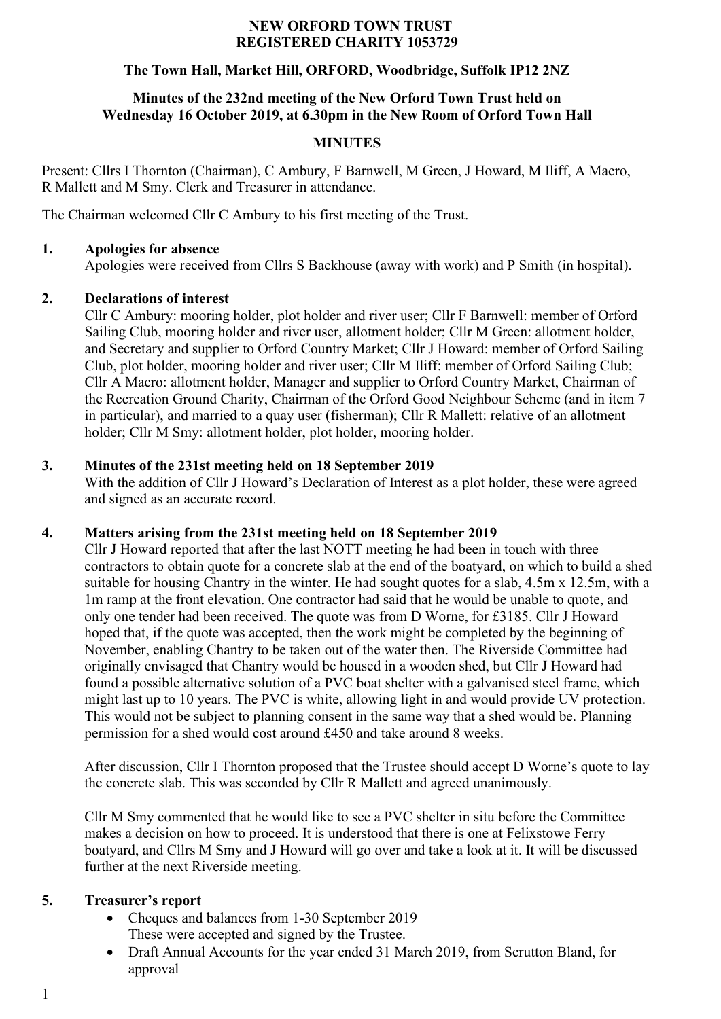### **NEW ORFORD TOWN TRUST REGISTERED CHARITY 1053729**

### **The Town Hall, Market Hill, ORFORD, Woodbridge, Suffolk IP12 2NZ**

### **Minutes of the 232nd meeting of the New Orford Town Trust held on Wednesday 16 October 2019, at 6.30pm in the New Room of Orford Town Hall**

# **MINUTES**

Present: Cllrs I Thornton (Chairman), C Ambury, F Barnwell, M Green, J Howard, M Iliff, A Macro, R Mallett and M Smy. Clerk and Treasurer in attendance.

The Chairman welcomed Cllr C Ambury to his first meeting of the Trust.

### **1. Apologies for absence**

Apologies were received from Cllrs S Backhouse (away with work) and P Smith (in hospital).

### **2. Declarations of interest**

Cllr C Ambury: mooring holder, plot holder and river user; Cllr F Barnwell: member of Orford Sailing Club, mooring holder and river user, allotment holder; Cllr M Green: allotment holder, and Secretary and supplier to Orford Country Market; Cllr J Howard: member of Orford Sailing Club, plot holder, mooring holder and river user; Cllr M Iliff: member of Orford Sailing Club; Cllr A Macro: allotment holder, Manager and supplier to Orford Country Market, Chairman of the Recreation Ground Charity, Chairman of the Orford Good Neighbour Scheme (and in item 7 in particular), and married to a quay user (fisherman); Cllr R Mallett: relative of an allotment holder; Cllr M Smy: allotment holder, plot holder, mooring holder.

### **3. Minutes of the 231st meeting held on 18 September 2019**

With the addition of Cllr J Howard's Declaration of Interest as a plot holder, these were agreed and signed as an accurate record.

# **4. Matters arising from the 231st meeting held on 18 September 2019**

Cllr J Howard reported that after the last NOTT meeting he had been in touch with three contractors to obtain quote for a concrete slab at the end of the boatyard, on which to build a shed suitable for housing Chantry in the winter. He had sought quotes for a slab, 4.5m x 12.5m, with a 1m ramp at the front elevation. One contractor had said that he would be unable to quote, and only one tender had been received. The quote was from D Worne, for £3185. Cllr J Howard hoped that, if the quote was accepted, then the work might be completed by the beginning of November, enabling Chantry to be taken out of the water then. The Riverside Committee had originally envisaged that Chantry would be housed in a wooden shed, but Cllr J Howard had found a possible alternative solution of a PVC boat shelter with a galvanised steel frame, which might last up to 10 years. The PVC is white, allowing light in and would provide UV protection. This would not be subject to planning consent in the same way that a shed would be. Planning permission for a shed would cost around £450 and take around 8 weeks.

After discussion, Cllr I Thornton proposed that the Trustee should accept D Worne's quote to lay the concrete slab. This was seconded by Cllr R Mallett and agreed unanimously.

Cllr M Smy commented that he would like to see a PVC shelter in situ before the Committee makes a decision on how to proceed. It is understood that there is one at Felixstowe Ferry boatyard, and Cllrs M Smy and J Howard will go over and take a look at it. It will be discussed further at the next Riverside meeting.

# **5. Treasurer's report**

- Cheques and balances from 1-30 September 2019 These were accepted and signed by the Trustee.
- Draft Annual Accounts for the year ended 31 March 2019, from Scrutton Bland, for approval